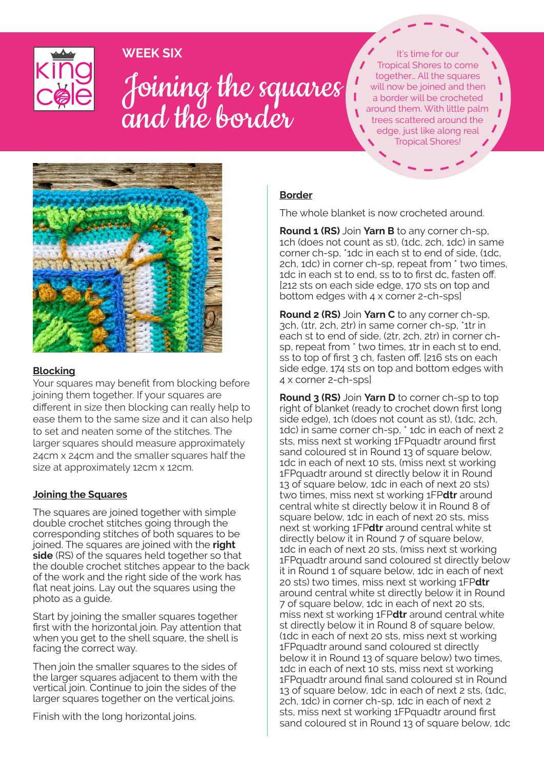WEEK SIX



# Joining the squares and the border Joining the squares and the border

Tropical Shores to come together… All the squares will now be joined and then a border will be crocheted around them. With little palm trees scattered around the edge, just like along real It's time for our Tropical Shores!



#### **Blocking**

Your squares may benefit from blocking before joining them together. If your squares are different in size then blocking can really help to ease them to the same size and it can also help to set and neaten some of the stitches. The larger squares should measure approximately 24cm x 24cm and the smaller squares half the size at approximately 12cm x 12cm.

### **Joining the Squares**

The squares are joined together with simple double crochet stitches going through the corresponding stitches of both squares to be joined. The squares are joined with the **right side** (RS) of the squares held together so that the double crochet stitches appear to the back of the work and the right side of the work has flat neat joins. Lay out the squares using the photo as a guide.

Start by joining the smaller squares together first with the horizontal join. Pay attention that when you get to the shell square, the shell is facing the correct way.

Then join the smaller squares to the sides of the larger squares adjacent to them with the vertical join. Continue to join the sides of the larger squares together on the vertical joins.

Finish with the long horizontal joins.

### **Border**

The whole blanket is now crocheted around.

**Round 1 (RS)** Join **Yarn B** to any corner ch-sp, 1ch (does not count as st), (1dc, 2ch, 1dc) in same corner ch-sp, \*1dc in each st to end of side, (1dc, 2ch, 1dc) in corner ch-sp, repeat from \* two times, 1dc in each st to end, ss to to first dc, fasten off. [212 sts on each side edge, 170 sts on top and bottom edges with 4 x corner 2-ch-sps]

**Round 2 (RS)** Join **Yarn C** to any corner ch-sp, 3ch, (1tr, 2ch, 2tr) in same corner ch-sp, \*1tr in each st to end of side, (2tr, 2ch, 2tr) in corner chsp, repeat from \* two times, 1tr in each st to end, ss to top of first 3 ch, fasten off. [216 sts on each side edge, 174 sts on top and bottom edges with 4 x corner 2-ch-sps]

**Round 3 (RS)** Join **Yarn D** to corner ch-sp to top right of blanket (ready to crochet down first long side edge), 1ch (does not count as st), (1dc, 2ch, 1dc) in same corner ch-sp, \* 1dc in each of next 2 sts, miss next st working 1FPquadtr around first sand coloured st in Round 13 of square below, 1dc in each of next 10 sts, (miss next st working 1FPquadtr around st directly below it in Round 13 of square below, 1dc in each of next 20 sts) two times, miss next st working 1FP**dtr** around central white st directly below it in Round 8 of square below, 1dc in each of next 20 sts, miss next st working 1FP**dtr** around central white st directly below it in Round 7 of square below, 1dc in each of next 20 sts, (miss next st working 1FPquadtr around sand coloured st directly below it in Round 1 of square below, 1dc in each of next 20 sts) two times, miss next st working 1FP**dtr** around central white st directly below it in Round 7 of square below, 1dc in each of next 20 sts, miss next st working 1FP**dtr** around central white st directly below it in Round 8 of square below. (1dc in each of next 20 sts, miss next st working 1FPquadtr around sand coloured st directly below it in Round 13 of square below) two times, 1dc in each of next 10 sts, miss next st working 1FPquadtr around final sand coloured st in Round 13 of square below, 1dc in each of next 2 sts, (1dc, 2ch, 1dc) in corner ch-sp, 1dc in each of next 2 sts, miss next st working 1FPquadtr around first sand coloured st in Round 13 of square below, 1dc